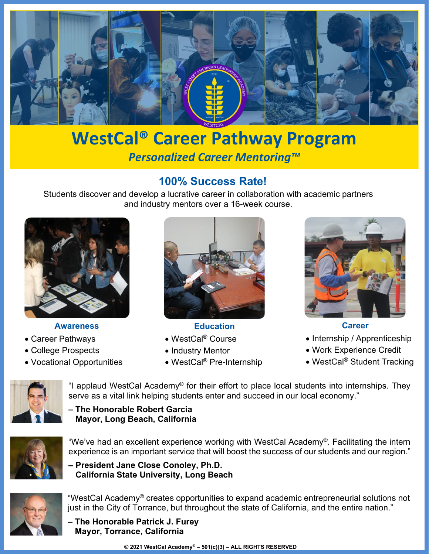

# **WestCal® Career Pathway Program** *Personalized Career Mentoring™*

### **100% Success Rate!**

Students discover and develop a lucrative career in collaboration with academic partners and industry mentors over a 16-week course.



#### **Awareness**

- Career Pathways
- College Prospects
- Vocational Opportunities



**Education**

- WestCal® Course
- Industry Mentor
- WestCal® Pre-Internship



**Career**

- Internship / Apprenticeship
- Work Experience Credit
- WestCal<sup>®</sup> Student Tracking



"I applaud WestCal Academy® for their effort to place local students into internships. They serve as a vital link helping students enter and succeed in our local economy."

**– The Honorable Robert Garcia Mayor, Long Beach, California**



"We've had an excellent experience working with WestCal Academy®. Facilitating the intern experience is an important service that will boost the success of our students and our region."

**– President Jane Close Conoley, Ph.D. California State University, Long Beach**



"WestCal Academy® creates opportunities to expand academic entrepreneurial solutions not just in the City of Torrance, but throughout the state of California, and the entire nation."

**– The Honorable Patrick J. Furey Mayor, Torrance, California**